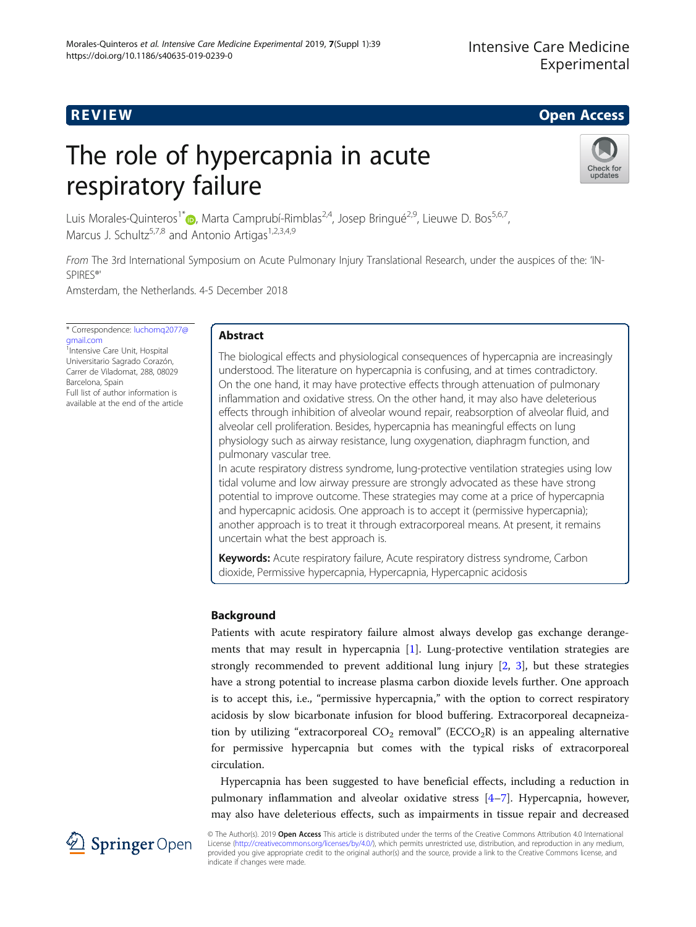# **REVIEW CONSTRUCTION CONSTRUCTION CONSTRUCTS**

# The role of hypercapnia in acute respiratory failure



Luis Morales-Quinteros<sup>1\*</sup> (**p**[,](http://orcid.org/0000-0002-8937-9824) Marta Camprubí-Rimblas<sup>2,4</sup>, Josep Bringué<sup>2,9</sup>, Lieuwe D. Bos<sup>5,6,7</sup>, Marcus J. Schultz<sup>5,7,8</sup> and Antonio Artigas<sup>1,2,3,4,9</sup>

From The 3rd International Symposium on Acute Pulmonary Injury Translational Research, under the auspices of the: 'IN-SPIRES®'

Amsterdam, the Netherlands. 4-5 December 2018

\* Correspondence: [luchomq2077@](mailto:luchomq2077@gmail.com) [gmail.com](mailto:luchomq2077@gmail.com) <sup>1</sup>Intensive Care Unit, Hospital Universitario Sagrado Corazón, Carrer de Viladomat, 288, 08029 Barcelona, Spain Full list of author information is available at the end of the article

# Abstract

The biological effects and physiological consequences of hypercapnia are increasingly understood. The literature on hypercapnia is confusing, and at times contradictory. On the one hand, it may have protective effects through attenuation of pulmonary inflammation and oxidative stress. On the other hand, it may also have deleterious effects through inhibition of alveolar wound repair, reabsorption of alveolar fluid, and alveolar cell proliferation. Besides, hypercapnia has meaningful effects on lung physiology such as airway resistance, lung oxygenation, diaphragm function, and pulmonary vascular tree.

In acute respiratory distress syndrome, lung-protective ventilation strategies using low tidal volume and low airway pressure are strongly advocated as these have strong potential to improve outcome. These strategies may come at a price of hypercapnia and hypercapnic acidosis. One approach is to accept it (permissive hypercapnia); another approach is to treat it through extracorporeal means. At present, it remains uncertain what the best approach is.

Keywords: Acute respiratory failure, Acute respiratory distress syndrome, Carbon dioxide, Permissive hypercapnia, Hypercapnia, Hypercapnic acidosis

# Background

Patients with acute respiratory failure almost always develop gas exchange derangements that may result in hypercapnia [\[1](#page-9-0)]. Lung-protective ventilation strategies are strongly recommended to prevent additional lung injury [[2,](#page-9-0) [3](#page-9-0)], but these strategies have a strong potential to increase plasma carbon dioxide levels further. One approach is to accept this, i.e., "permissive hypercapnia," with the option to correct respiratory acidosis by slow bicarbonate infusion for blood buffering. Extracorporeal decapneization by utilizing "extracorporeal  $CO_2$  removal" (ECCO<sub>2</sub>R) is an appealing alternative for permissive hypercapnia but comes with the typical risks of extracorporeal circulation.

Hypercapnia has been suggested to have beneficial effects, including a reduction in pulmonary inflammation and alveolar oxidative stress [[4](#page-9-0)–[7\]](#page-9-0). Hypercapnia, however, may also have deleterious effects, such as impairments in tissue repair and decreased



© The Author(s). 2019 Open Access This article is distributed under the terms of the Creative Commons Attribution 4.0 International License [\(http://creativecommons.org/licenses/by/4.0/](http://creativecommons.org/licenses/by/4.0/)), which permits unrestricted use, distribution, and reproduction in any medium, provided you give appropriate credit to the original author(s) and the source, provide a link to the Creative Commons license, and indicate if changes were made.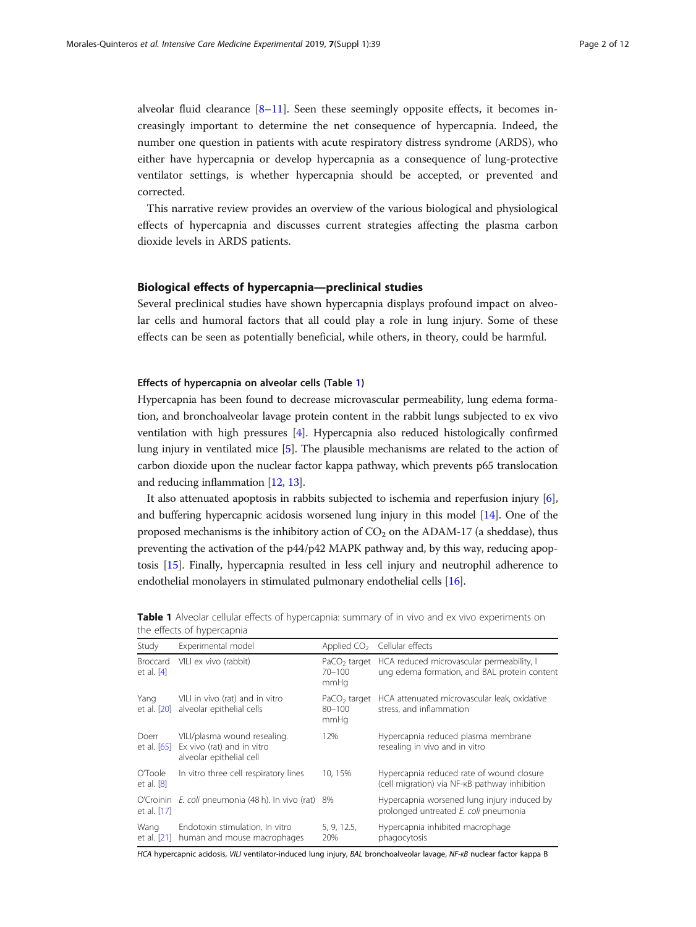alveolar fluid clearance  $[8-11]$  $[8-11]$  $[8-11]$  $[8-11]$  $[8-11]$ . Seen these seemingly opposite effects, it becomes increasingly important to determine the net consequence of hypercapnia. Indeed, the number one question in patients with acute respiratory distress syndrome (ARDS), who either have hypercapnia or develop hypercapnia as a consequence of lung-protective ventilator settings, is whether hypercapnia should be accepted, or prevented and corrected.

This narrative review provides an overview of the various biological and physiological effects of hypercapnia and discusses current strategies affecting the plasma carbon dioxide levels in ARDS patients.

# Biological effects of hypercapnia—preclinical studies

Several preclinical studies have shown hypercapnia displays profound impact on alveolar cells and humoral factors that all could play a role in lung injury. Some of these effects can be seen as potentially beneficial, while others, in theory, could be harmful.

# Effects of hypercapnia on alveolar cells (Table 1)

Hypercapnia has been found to decrease microvascular permeability, lung edema formation, and bronchoalveolar lavage protein content in the rabbit lungs subjected to ex vivo ventilation with high pressures [[4](#page-9-0)]. Hypercapnia also reduced histologically confirmed lung injury in ventilated mice [\[5](#page-9-0)]. The plausible mechanisms are related to the action of carbon dioxide upon the nuclear factor kappa pathway, which prevents p65 translocation and reducing inflammation [\[12,](#page-9-0) [13](#page-9-0)].

It also attenuated apoptosis in rabbits subjected to ischemia and reperfusion injury [[6](#page-9-0)], and buffering hypercapnic acidosis worsened lung injury in this model [\[14\]](#page-9-0). One of the proposed mechanisms is the inhibitory action of  $CO<sub>2</sub>$  on the ADAM-17 (a sheddase), thus preventing the activation of the p44/p42 MAPK pathway and, by this way, reducing apoptosis [\[15\]](#page-9-0). Finally, hypercapnia resulted in less cell injury and neutrophil adherence to endothelial monolayers in stimulated pulmonary endothelial cells [[16\]](#page-9-0).

| Study                         | Experimental model                                                                     | Applied $CO2$                                  | Cellular effects                                                                           |
|-------------------------------|----------------------------------------------------------------------------------------|------------------------------------------------|--------------------------------------------------------------------------------------------|
| Broccard<br>et al. $[4]$      | VILI ex vivo (rabbit)                                                                  | PaCO <sub>2</sub> target<br>$70 - 100$<br>mmHq | HCA reduced microvascular permeability, I<br>ung edema formation, and BAL protein content  |
| Yang<br>et al. [20]           | VILI in vivo (rat) and in vitro<br>alveolar epithelial cells                           | PaCO <sub>2</sub> target<br>$80 - 100$<br>mmHq | HCA attenuated microvascular leak, oxidative<br>stress, and inflammation                   |
| Doerr<br>et al. [65]          | VILI/plasma wound resealing.<br>Ex vivo (rat) and in vitro<br>alveolar epithelial cell | 12%                                            | Hypercapnia reduced plasma membrane<br>resealing in vivo and in vitro                      |
| <b>OToole</b><br>et al. $[8]$ | In vitro three cell respiratory lines                                                  | 10, 15%                                        | Hypercapnia reduced rate of wound closure<br>(cell migration) via NF-KB pathway inhibition |
| O'Croinin<br>et al. [17]      | E. coli pneumonia (48 h). In vivo (rat)                                                | 8%                                             | Hypercapnia worsened lung injury induced by<br>prolonged untreated E. coli pneumonia       |
| Wang<br>et al. [21]           | Endotoxin stimulation. In vitro<br>human and mouse macrophages                         | 5, 9, 12.5,<br>20%                             | Hypercapnia inhibited macrophage<br>phagocytosis                                           |

|                            |  |  | Table 1 Alveolar cellular effects of hypercapnia: summary of in vivo and ex vivo experiments on |  |  |  |  |
|----------------------------|--|--|-------------------------------------------------------------------------------------------------|--|--|--|--|
| the effects of hypercapnia |  |  |                                                                                                 |  |  |  |  |

HCA hypercapnic acidosis, VILI ventilator-induced lung injury, BAL bronchoalveolar lavage, NF-KB nuclear factor kappa B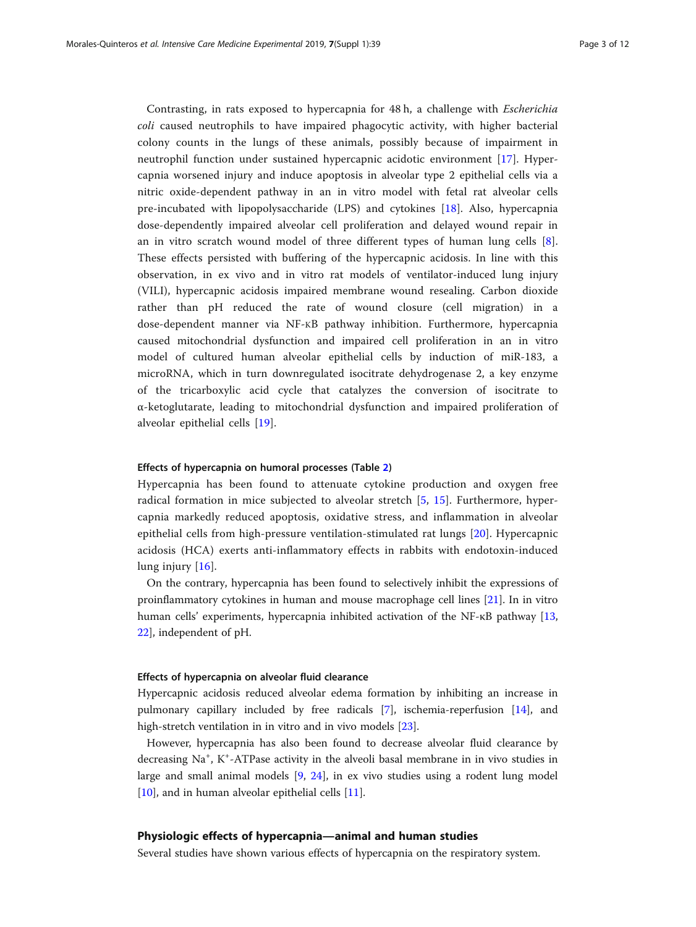Contrasting, in rats exposed to hypercapnia for 48 h, a challenge with Escherichia coli caused neutrophils to have impaired phagocytic activity, with higher bacterial colony counts in the lungs of these animals, possibly because of impairment in neutrophil function under sustained hypercapnic acidotic environment [[17\]](#page-9-0). Hypercapnia worsened injury and induce apoptosis in alveolar type 2 epithelial cells via a nitric oxide-dependent pathway in an in vitro model with fetal rat alveolar cells pre-incubated with lipopolysaccharide (LPS) and cytokines [[18\]](#page-9-0). Also, hypercapnia dose-dependently impaired alveolar cell proliferation and delayed wound repair in an in vitro scratch wound model of three different types of human lung cells [\[8](#page-9-0)]. These effects persisted with buffering of the hypercapnic acidosis. In line with this observation, in ex vivo and in vitro rat models of ventilator-induced lung injury (VILI), hypercapnic acidosis impaired membrane wound resealing. Carbon dioxide rather than pH reduced the rate of wound closure (cell migration) in a dose-dependent manner via NF-KB pathway inhibition. Furthermore, hypercapnia caused mitochondrial dysfunction and impaired cell proliferation in an in vitro model of cultured human alveolar epithelial cells by induction of miR-183, a microRNA, which in turn downregulated isocitrate dehydrogenase 2, a key enzyme of the tricarboxylic acid cycle that catalyzes the conversion of isocitrate to α-ketoglutarate, leading to mitochondrial dysfunction and impaired proliferation of alveolar epithelial cells [\[19](#page-9-0)].

# Effects of hypercapnia on humoral processes (Table [2\)](#page-3-0)

Hypercapnia has been found to attenuate cytokine production and oxygen free radical formation in mice subjected to alveolar stretch [[5](#page-9-0), [15](#page-9-0)]. Furthermore, hypercapnia markedly reduced apoptosis, oxidative stress, and inflammation in alveolar epithelial cells from high-pressure ventilation-stimulated rat lungs [[20\]](#page-9-0). Hypercapnic acidosis (HCA) exerts anti-inflammatory effects in rabbits with endotoxin-induced lung injury [[16](#page-9-0)].

On the contrary, hypercapnia has been found to selectively inhibit the expressions of proinflammatory cytokines in human and mouse macrophage cell lines [\[21](#page-9-0)]. In in vitro human cells' experiments, hypercapnia inhibited activation of the NF-κB pathway [[13](#page-9-0), [22](#page-9-0)], independent of pH.

#### Effects of hypercapnia on alveolar fluid clearance

Hypercapnic acidosis reduced alveolar edema formation by inhibiting an increase in pulmonary capillary included by free radicals [\[7\]](#page-9-0), ischemia-reperfusion [[14\]](#page-9-0), and high-stretch ventilation in in vitro and in vivo models [[23\]](#page-9-0).

However, hypercapnia has also been found to decrease alveolar fluid clearance by decreasing Na<sup>+</sup>, K<sup>+</sup>-ATPase activity in the alveoli basal membrane in in vivo studies in large and small animal models [[9,](#page-9-0) [24\]](#page-9-0), in ex vivo studies using a rodent lung model  $[10]$  $[10]$ , and in human alveolar epithelial cells  $[11]$  $[11]$ .

#### Physiologic effects of hypercapnia—animal and human studies

Several studies have shown various effects of hypercapnia on the respiratory system.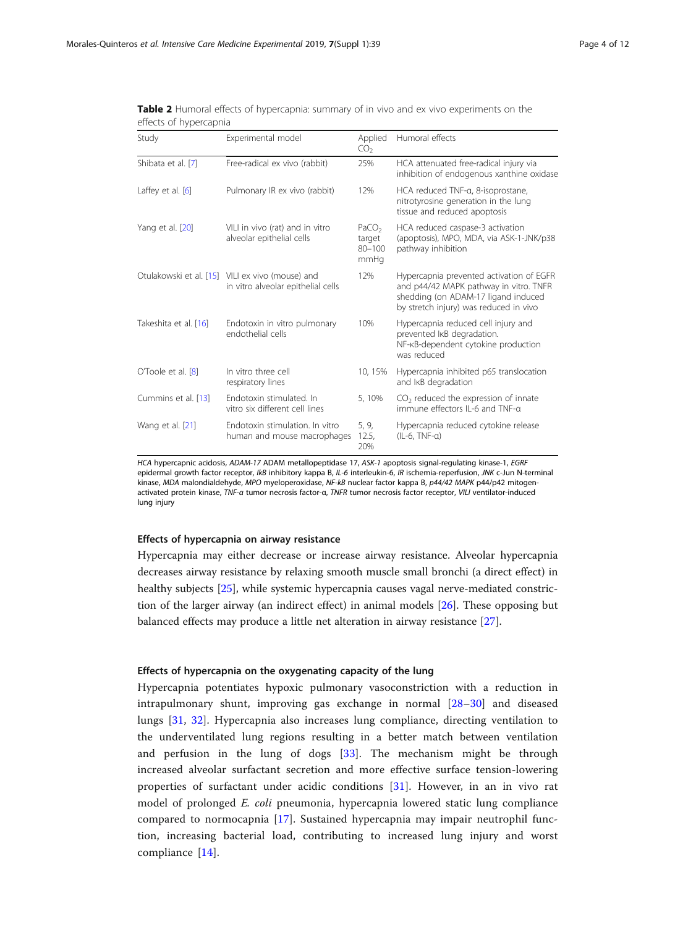| Study                 | Experimental model                                                                     | Applied<br>CO <sub>2</sub>                        | Humoral effects                                                                                                                                                     |
|-----------------------|----------------------------------------------------------------------------------------|---------------------------------------------------|---------------------------------------------------------------------------------------------------------------------------------------------------------------------|
| Shibata et al. [7]    | Free-radical ex vivo (rabbit)                                                          | 25%                                               | HCA attenuated free-radical injury via<br>inhibition of endogenous xanthine oxidase                                                                                 |
| Laffey et al. $[6]$   | Pulmonary IR ex vivo (rabbit)                                                          | 12%                                               | HCA reduced TNF-a, 8-isoprostane,<br>nitrotyrosine generation in the lung<br>tissue and reduced apoptosis                                                           |
| Yang et al. [20]      | VILI in vivo (rat) and in vitro<br>alveolar epithelial cells                           | PaCO <sub>2</sub><br>target<br>$80 - 100$<br>mmHq | HCA reduced caspase-3 activation<br>(apoptosis), MPO, MDA, via ASK-1-JNK/p38<br>pathway inhibition                                                                  |
|                       | Otulakowski et al. [15] VILI ex vivo (mouse) and<br>in vitro alveolar epithelial cells | 12%                                               | Hypercapnia prevented activation of EGFR<br>and p44/42 MAPK pathway in vitro. TNFR<br>shedding (on ADAM-17 ligand induced<br>by stretch injury) was reduced in vivo |
| Takeshita et al. [16] | Endotoxin in vitro pulmonary<br>endothelial cells                                      | 10%                                               | Hypercapnia reduced cell injury and<br>prevented IKB degradation.<br>NF-KB-dependent cytokine production<br>was reduced                                             |
| O'Toole et al. [8]    | In vitro three cell<br>respiratory lines                                               | 10, 15%                                           | Hypercapnia inhibited p65 translocation<br>and I <sub>KB</sub> degradation                                                                                          |
| Cummins et al. [13]   | Endotoxin stimulated. In<br>vitro six different cell lines                             | 5, 10%                                            | $CO2$ reduced the expression of innate<br>immune effectors II -6 and TNF-a                                                                                          |
| Wang et al. [21]      | Endotoxin stimulation. In vitro<br>human and mouse macrophages                         | 5, 9,<br>12.5,<br>20%                             | Hypercapnia reduced cytokine release<br>$(IL-6, TNF-\alpha)$                                                                                                        |

<span id="page-3-0"></span>Table 2 Humoral effects of hypercapnia: summary of in vivo and ex vivo experiments on the effects of hypercapnia

HCA hypercapnic acidosis, ADAM-17 ADAM metallopeptidase 17, ASK-1 apoptosis signal-regulating kinase-1, EGRF epidermal growth factor receptor, IkB inhibitory kappa B, IL-6 interleukin-6, IR ischemia-reperfusion, JNK c-Jun N-terminal kinase, MDA malondialdehyde, MPO myeloperoxidase, NF-kB nuclear factor kappa B, p44/42 MAPK p44/p42 mitogenactivated protein kinase, TNF-α tumor necrosis factor-α, TNFR tumor necrosis factor receptor, VILI ventilator-induced lung injury

# Effects of hypercapnia on airway resistance

Hypercapnia may either decrease or increase airway resistance. Alveolar hypercapnia decreases airway resistance by relaxing smooth muscle small bronchi (a direct effect) in healthy subjects [\[25\]](#page-9-0), while systemic hypercapnia causes vagal nerve-mediated constriction of the larger airway (an indirect effect) in animal models [[26\]](#page-9-0). These opposing but balanced effects may produce a little net alteration in airway resistance [\[27](#page-9-0)].

# Effects of hypercapnia on the oxygenating capacity of the lung

Hypercapnia potentiates hypoxic pulmonary vasoconstriction with a reduction in intrapulmonary shunt, improving gas exchange in normal [\[28](#page-9-0)–[30](#page-10-0)] and diseased lungs [\[31](#page-10-0), [32\]](#page-10-0). Hypercapnia also increases lung compliance, directing ventilation to the underventilated lung regions resulting in a better match between ventilation and perfusion in the lung of dogs [\[33](#page-10-0)]. The mechanism might be through increased alveolar surfactant secretion and more effective surface tension-lowering properties of surfactant under acidic conditions [[31\]](#page-10-0). However, in an in vivo rat model of prolonged E. coli pneumonia, hypercapnia lowered static lung compliance compared to normocapnia [[17\]](#page-9-0). Sustained hypercapnia may impair neutrophil function, increasing bacterial load, contributing to increased lung injury and worst compliance [\[14](#page-9-0)].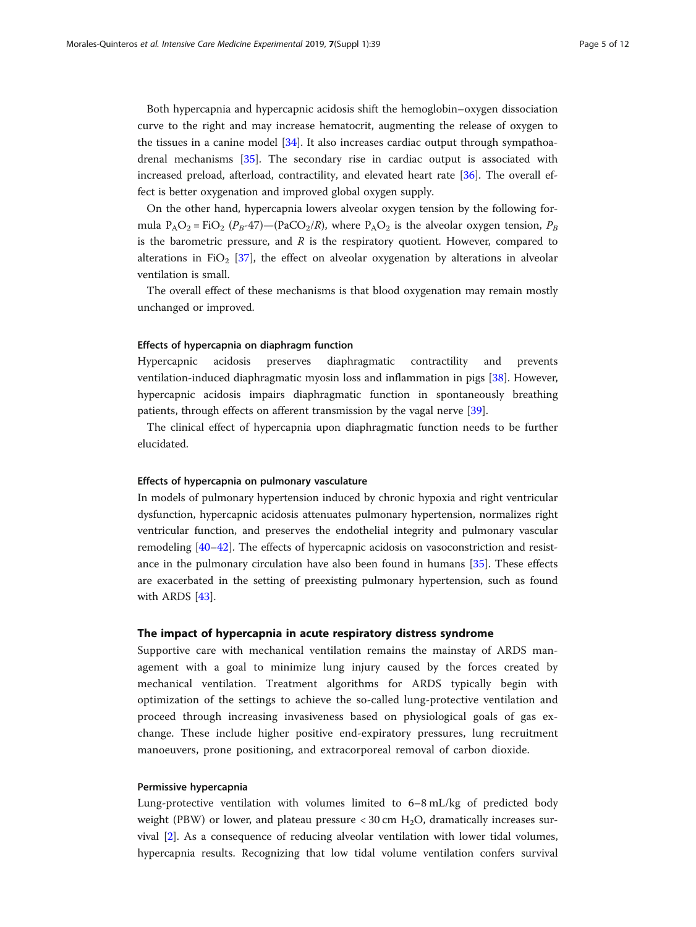Both hypercapnia and hypercapnic acidosis shift the hemoglobin–oxygen dissociation curve to the right and may increase hematocrit, augmenting the release of oxygen to the tissues in a canine model [\[34](#page-10-0)]. It also increases cardiac output through sympathoadrenal mechanisms [[35](#page-10-0)]. The secondary rise in cardiac output is associated with increased preload, afterload, contractility, and elevated heart rate [[36](#page-10-0)]. The overall effect is better oxygenation and improved global oxygen supply.

On the other hand, hypercapnia lowers alveolar oxygen tension by the following formula  $P_AO_2 = FiO_2 (P_B-47)$ —(PaCO<sub>2</sub>/R), where  $P_AO_2$  is the alveolar oxygen tension,  $P_B$ is the barometric pressure, and  $R$  is the respiratory quotient. However, compared to alterations in FiO<sub>2</sub> [[37\]](#page-10-0), the effect on alveolar oxygenation by alterations in alveolar ventilation is small.

The overall effect of these mechanisms is that blood oxygenation may remain mostly unchanged or improved.

#### Effects of hypercapnia on diaphragm function

Hypercapnic acidosis preserves diaphragmatic contractility and prevents ventilation-induced diaphragmatic myosin loss and inflammation in pigs [\[38](#page-10-0)]. However, hypercapnic acidosis impairs diaphragmatic function in spontaneously breathing patients, through effects on afferent transmission by the vagal nerve [[39\]](#page-10-0).

The clinical effect of hypercapnia upon diaphragmatic function needs to be further elucidated.

#### Effects of hypercapnia on pulmonary vasculature

In models of pulmonary hypertension induced by chronic hypoxia and right ventricular dysfunction, hypercapnic acidosis attenuates pulmonary hypertension, normalizes right ventricular function, and preserves the endothelial integrity and pulmonary vascular remodeling [\[40](#page-10-0)–[42\]](#page-10-0). The effects of hypercapnic acidosis on vasoconstriction and resistance in the pulmonary circulation have also been found in humans [[35\]](#page-10-0). These effects are exacerbated in the setting of preexisting pulmonary hypertension, such as found with ARDS [[43\]](#page-10-0).

# The impact of hypercapnia in acute respiratory distress syndrome

Supportive care with mechanical ventilation remains the mainstay of ARDS management with a goal to minimize lung injury caused by the forces created by mechanical ventilation. Treatment algorithms for ARDS typically begin with optimization of the settings to achieve the so-called lung-protective ventilation and proceed through increasing invasiveness based on physiological goals of gas exchange. These include higher positive end-expiratory pressures, lung recruitment manoeuvers, prone positioning, and extracorporeal removal of carbon dioxide.

# Permissive hypercapnia

Lung-protective ventilation with volumes limited to 6–8 mL/kg of predicted body weight (PBW) or lower, and plateau pressure  $<$  30 cm H<sub>2</sub>O, dramatically increases survival [\[2](#page-9-0)]. As a consequence of reducing alveolar ventilation with lower tidal volumes, hypercapnia results. Recognizing that low tidal volume ventilation confers survival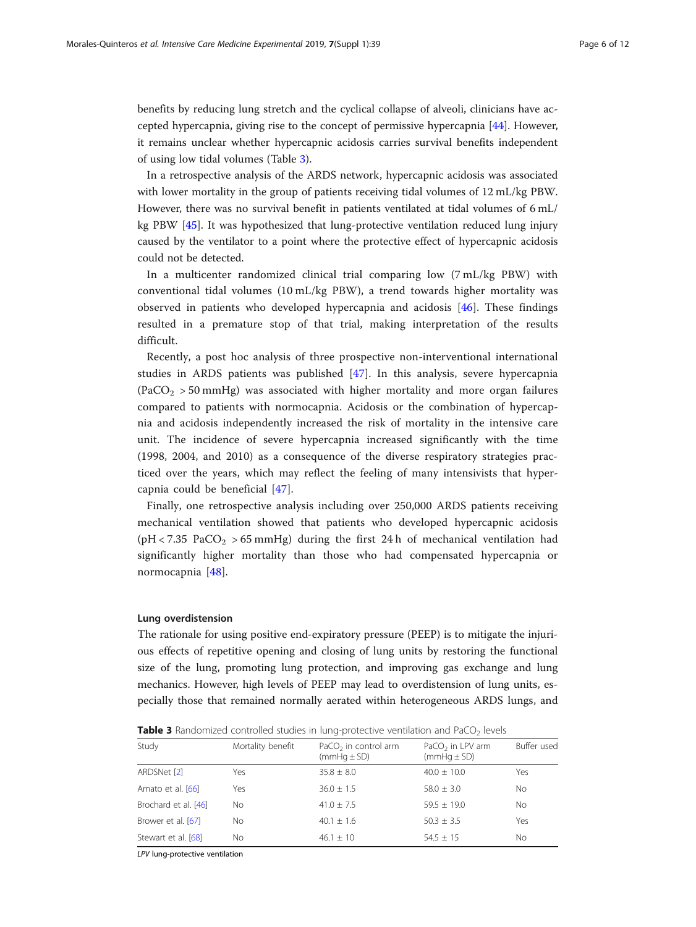benefits by reducing lung stretch and the cyclical collapse of alveoli, clinicians have accepted hypercapnia, giving rise to the concept of permissive hypercapnia [[44](#page-10-0)]. However, it remains unclear whether hypercapnic acidosis carries survival benefits independent of using low tidal volumes (Table 3).

In a retrospective analysis of the ARDS network, hypercapnic acidosis was associated with lower mortality in the group of patients receiving tidal volumes of 12 mL/kg PBW. However, there was no survival benefit in patients ventilated at tidal volumes of 6 mL/ kg PBW [[45\]](#page-10-0). It was hypothesized that lung-protective ventilation reduced lung injury caused by the ventilator to a point where the protective effect of hypercapnic acidosis could not be detected.

In a multicenter randomized clinical trial comparing low (7 mL/kg PBW) with conventional tidal volumes (10 mL/kg PBW), a trend towards higher mortality was observed in patients who developed hypercapnia and acidosis [[46\]](#page-10-0). These findings resulted in a premature stop of that trial, making interpretation of the results difficult.

Recently, a post hoc analysis of three prospective non-interventional international studies in ARDS patients was published [\[47](#page-10-0)]. In this analysis, severe hypercapnia  $(PaCO<sub>2</sub> > 50 mmHg)$  was associated with higher mortality and more organ failures compared to patients with normocapnia. Acidosis or the combination of hypercapnia and acidosis independently increased the risk of mortality in the intensive care unit. The incidence of severe hypercapnia increased significantly with the time (1998, 2004, and 2010) as a consequence of the diverse respiratory strategies practiced over the years, which may reflect the feeling of many intensivists that hypercapnia could be beneficial [[47\]](#page-10-0).

Finally, one retrospective analysis including over 250,000 ARDS patients receiving mechanical ventilation showed that patients who developed hypercapnic acidosis (pH < 7.35 PaCO<sub>2</sub> > 65 mmHg) during the first 24 h of mechanical ventilation had significantly higher mortality than those who had compensated hypercapnia or normocapnia [[48\]](#page-10-0).

#### Lung overdistension

The rationale for using positive end-expiratory pressure (PEEP) is to mitigate the injurious effects of repetitive opening and closing of lung units by restoring the functional size of the lung, promoting lung protection, and improving gas exchange and lung mechanics. However, high levels of PEEP may lead to overdistension of lung units, especially those that remained normally aerated within heterogeneous ARDS lungs, and

**Table 3** Randomized controlled studies in lung-protective ventilation and PaCO<sub>2</sub> levels

| Study                | Mortality benefit | $PaCO2$ in control arm<br>$(mmHq \pm SD)$ | PaCO <sub>2</sub> in LPV arm<br>$(mmHq \pm SD)$ | Buffer used |
|----------------------|-------------------|-------------------------------------------|-------------------------------------------------|-------------|
| ARDSNet [2]          | Yes               | $35.8 \pm 8.0$                            | $40.0 \pm 10.0$                                 | Yes         |
| Amato et al. [66]    | Yes               | $36.0 \pm 1.5$                            | $58.0 \pm 3.0$                                  | No.         |
| Brochard et al. [46] | No                | $41.0 + 7.5$                              | $59.5 + 19.0$                                   | No          |
| Brower et al. [67]   | No                | $40.1 \pm 1.6$                            | $50.3 \pm 3.5$                                  | Yes         |
| Stewart et al. [68]  | No.               | $46.1 \pm 10$                             | $54.5 + 15$                                     | No          |

LPV lung-protective ventilation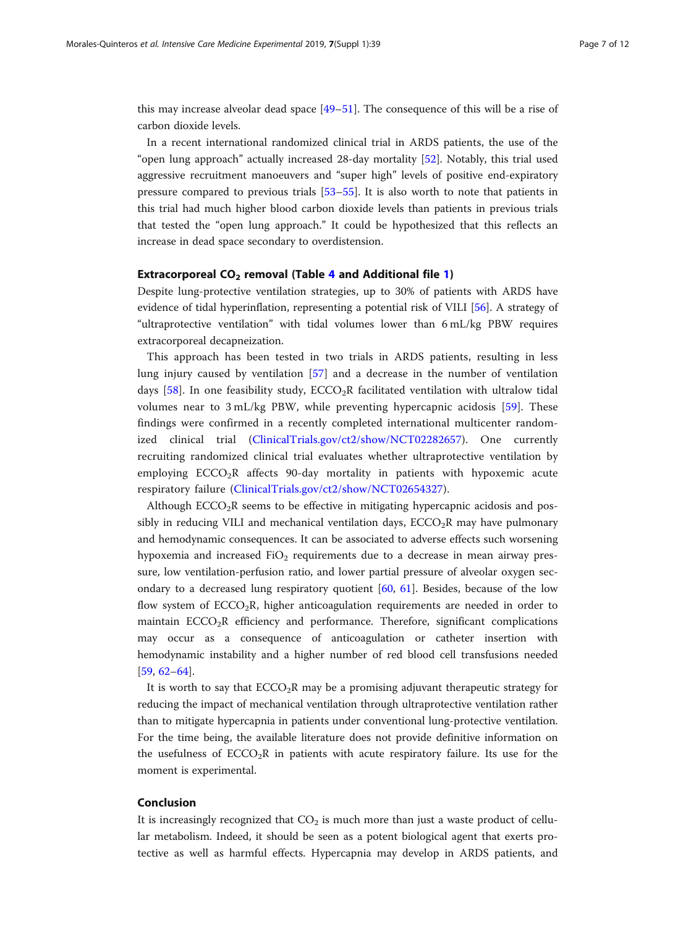this may increase alveolar dead space [\[49](#page-10-0)–[51\]](#page-10-0). The consequence of this will be a rise of carbon dioxide levels.

In a recent international randomized clinical trial in ARDS patients, the use of the "open lung approach" actually increased 28-day mortality [[52](#page-10-0)]. Notably, this trial used aggressive recruitment manoeuvers and "super high" levels of positive end-expiratory pressure compared to previous trials [[53](#page-10-0)–[55](#page-10-0)]. It is also worth to note that patients in this trial had much higher blood carbon dioxide levels than patients in previous trials that tested the "open lung approach." It could be hypothesized that this reflects an increase in dead space secondary to overdistension.

# Extracorporeal  $CO<sub>2</sub>$  removal (Table [4](#page-7-0) and Additional file [1](#page-8-0))

Despite lung-protective ventilation strategies, up to 30% of patients with ARDS have evidence of tidal hyperinflation, representing a potential risk of VILI [\[56](#page-10-0)]. A strategy of "ultraprotective ventilation" with tidal volumes lower than 6 mL/kg PBW requires extracorporeal decapneization.

This approach has been tested in two trials in ARDS patients, resulting in less lung injury caused by ventilation [\[57](#page-10-0)] and a decrease in the number of ventilation days [[58\]](#page-10-0). In one feasibility study,  $ECCO<sub>2</sub>R$  facilitated ventilation with ultralow tidal volumes near to 3 mL/kg PBW, while preventing hypercapnic acidosis [[59\]](#page-10-0). These findings were confirmed in a recently completed international multicenter randomized clinical trial ([ClinicalTrials.gov/ct2/show/NCT02282657](http://clinicaltrials.gov/ct2/show/NCT02282657)). One currently recruiting randomized clinical trial evaluates whether ultraprotective ventilation by employing  $ECCO<sub>2</sub>R$  affects 90-day mortality in patients with hypoxemic acute respiratory failure [\(ClinicalTrials.gov/ct2/show/NCT02654327](http://clinicaltrials.gov/ct2/show/NCT02654327)).

Although ECCO<sub>2</sub>R seems to be effective in mitigating hypercapnic acidosis and possibly in reducing VILI and mechanical ventilation days,  $ECCO<sub>2</sub>R$  may have pulmonary and hemodynamic consequences. It can be associated to adverse effects such worsening hypoxemia and increased  $FiO<sub>2</sub>$  requirements due to a decrease in mean airway pressure, low ventilation-perfusion ratio, and lower partial pressure of alveolar oxygen secondary to a decreased lung respiratory quotient [[60](#page-10-0), [61](#page-10-0)]. Besides, because of the low flow system of  $ECCO<sub>2</sub>R$ , higher anticoagulation requirements are needed in order to maintain ECCO2R efficiency and performance. Therefore, significant complications may occur as a consequence of anticoagulation or catheter insertion with hemodynamic instability and a higher number of red blood cell transfusions needed [[59,](#page-10-0) [62](#page-10-0)–[64](#page-11-0)].

It is worth to say that  $ECCO<sub>2</sub>R$  may be a promising adjuvant therapeutic strategy for reducing the impact of mechanical ventilation through ultraprotective ventilation rather than to mitigate hypercapnia in patients under conventional lung-protective ventilation. For the time being, the available literature does not provide definitive information on the usefulness of  $ECCO<sub>2</sub>R$  in patients with acute respiratory failure. Its use for the moment is experimental.

# Conclusion

It is increasingly recognized that  $CO<sub>2</sub>$  is much more than just a waste product of cellular metabolism. Indeed, it should be seen as a potent biological agent that exerts protective as well as harmful effects. Hypercapnia may develop in ARDS patients, and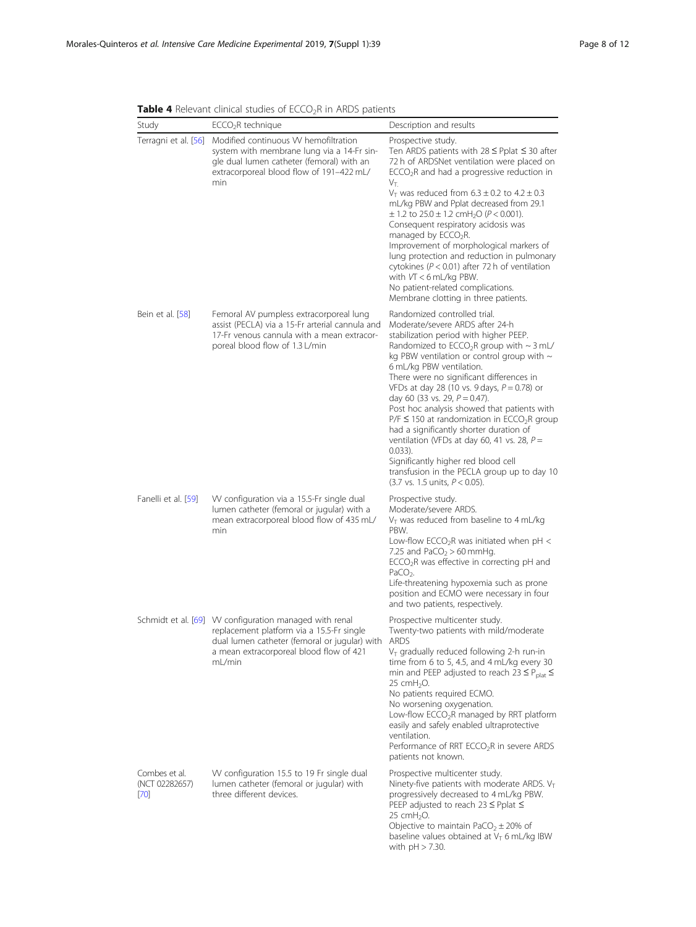| Study                                     | $ECCO2R$ technique                                                                                                                                                                                        | Description and results                                                                                                                                                                                                                                                                                                                                                                                                                                                                                                                                                                                                                                                                                                                                    |
|-------------------------------------------|-----------------------------------------------------------------------------------------------------------------------------------------------------------------------------------------------------------|------------------------------------------------------------------------------------------------------------------------------------------------------------------------------------------------------------------------------------------------------------------------------------------------------------------------------------------------------------------------------------------------------------------------------------------------------------------------------------------------------------------------------------------------------------------------------------------------------------------------------------------------------------------------------------------------------------------------------------------------------------|
| Terragni et al. [56]                      | Modified continuous W hemofiltration<br>system with membrane lung via a 14-Fr sin-<br>gle dual lumen catheter (femoral) with an<br>extracorporeal blood flow of 191–422 mL/<br>min                        | Prospective study.<br>Ten ARDS patients with $28 \leq$ Pplat $\leq$ 30 after<br>72 h of ARDSNet ventilation were placed on<br>$ECCO2R$ and had a progressive reduction in<br>V <sub>T.</sub><br>$V_T$ was reduced from 6.3 $\pm$ 0.2 to 4.2 $\pm$ 0.3<br>mL/kg PBW and Pplat decreased from 29.1<br>$\pm$ 1.2 to 25.0 $\pm$ 1.2 cmH <sub>2</sub> O ( <i>P</i> < 0.001).<br>Consequent respiratory acidosis was<br>managed by $ECCO2R$ .<br>Improvement of morphological markers of<br>lung protection and reduction in pulmonary<br>cytokines ( $P < 0.01$ ) after 72 h of ventilation<br>with $VT < 6$ mL/kg PBW.<br>No patient-related complications.<br>Membrane clotting in three patients.                                                            |
| Bein et al. [58]                          | Femoral AV pumpless extracorporeal lung<br>assist (PECLA) via a 15-Fr arterial cannula and<br>17-Fr venous cannula with a mean extracor-<br>poreal blood flow of 1.3 L/min                                | Randomized controlled trial.<br>Moderate/severe ARDS after 24-h<br>stabilization period with higher PEEP.<br>Randomized to ECCO <sub>2</sub> R group with $\sim$ 3 mL/<br>kg PBW ventilation or control group with $\sim$<br>6 mL/kg PBW ventilation.<br>There were no significant differences in<br>VFDs at day 28 (10 vs. 9 days, $P = 0.78$ ) or<br>day 60 (33 vs. 29, $P = 0.47$ ).<br>Post hoc analysis showed that patients with<br>$P/F \le 150$ at randomization in ECCO <sub>2</sub> R group<br>had a significantly shorter duration of<br>ventilation (VFDs at day 60, 41 vs. 28, $P =$<br>$0.033$ ).<br>Significantly higher red blood cell<br>transfusion in the PECLA group up to day 10<br>$(3.7 \text{ vs. } 1.5 \text{ units}, P < 0.05).$ |
| Fanelli et al. [59]                       | W configuration via a 15.5-Fr single dual<br>lumen catheter (femoral or jugular) with a<br>mean extracorporeal blood flow of 435 mL/<br>min                                                               | Prospective study.<br>Moderate/severe ARDS.<br>$V_T$ was reduced from baseline to 4 mL/kg<br>PBW.<br>Low-flow ECCO <sub>2</sub> R was initiated when $pH <$<br>7.25 and $PaCO_2 > 60$ mmHg.<br>$ECCO2R$ was effective in correcting pH and<br>$PaCO2$ .<br>Life-threatening hypoxemia such as prone<br>position and ECMO were necessary in four<br>and two patients, respectively.                                                                                                                                                                                                                                                                                                                                                                         |
|                                           | Schmidt et al. [69] W configuration managed with renal<br>replacement platform via a 15.5-Fr single<br>dual lumen catheter (femoral or jugular) with<br>a mean extracorporeal blood flow of 421<br>mL/min | Prospective multicenter study.<br>Twenty-two patients with mild/moderate<br>ARDS<br>$V_T$ gradually reduced following 2-h run-in<br>time from 6 to 5, 4.5, and 4 mL/kg every 30<br>min and PEEP adjusted to reach 23 $\leq$ P <sub>plat</sub> $\leq$<br>25 cmH <sub>2</sub> O.<br>No patients required ECMO.<br>No worsening oxygenation.<br>Low-flow ECCO <sub>2</sub> R managed by RRT platform<br>easily and safely enabled ultraprotective<br>ventilation.<br>Performance of RRT ECCO <sub>2</sub> R in severe ARDS<br>patients not known.                                                                                                                                                                                                             |
| Combes et al.<br>(NCT 02282657)<br>$[70]$ | W configuration 15.5 to 19 Fr single dual<br>lumen catheter (femoral or jugular) with<br>three different devices.                                                                                         | Prospective multicenter study.<br>Ninety-five patients with moderate ARDS. $V_T$<br>progressively decreased to 4 mL/kg PBW.<br>PEEP adjusted to reach 23 $\leq$ Pplat $\leq$<br>25 cmH <sub>2</sub> O.<br>Objective to maintain PaCO <sub>2</sub> $\pm$ 20% of<br>baseline values obtained at $V_T$ 6 mL/kg IBW                                                                                                                                                                                                                                                                                                                                                                                                                                            |

with pH > 7.30.

<span id="page-7-0"></span>Table 4 Relevant clinical studies of ECCO<sub>2</sub>R in ARDS patients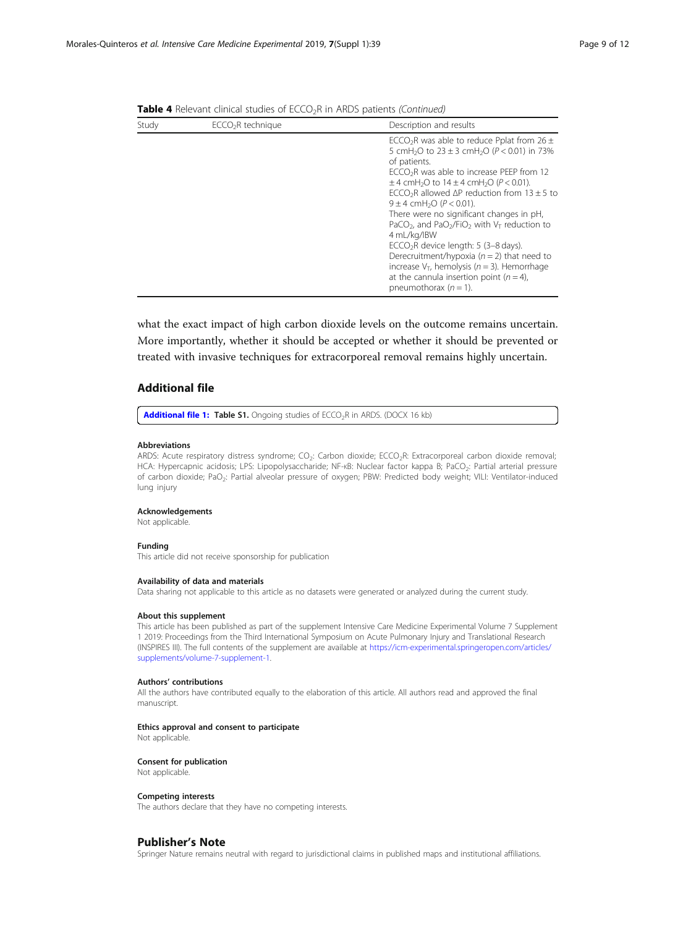<span id="page-8-0"></span>

| <b>Table 4</b> Relevant clinical studies of ECCO <sub>2</sub> R in ARDS patients (Continued) |  |
|----------------------------------------------------------------------------------------------|--|
|----------------------------------------------------------------------------------------------|--|

| Study | ECCO <sub>2</sub> R technique | Description and results                                                                                                                                                                                                                                                                                                                                                                                                                                                                                                                                                                                                                                                                                                                                                                         |
|-------|-------------------------------|-------------------------------------------------------------------------------------------------------------------------------------------------------------------------------------------------------------------------------------------------------------------------------------------------------------------------------------------------------------------------------------------------------------------------------------------------------------------------------------------------------------------------------------------------------------------------------------------------------------------------------------------------------------------------------------------------------------------------------------------------------------------------------------------------|
|       |                               | ECCO <sub>2</sub> R was able to reduce Pplat from 26 $\pm$<br>5 cmH <sub>2</sub> O to $23 \pm 3$ cmH <sub>2</sub> O ( $P < 0.01$ ) in 73%<br>of patients.<br>$ECCO2R$ was able to increase PEEP from 12<br>$\pm$ 4 cmH <sub>2</sub> O to 14 $\pm$ 4 cmH <sub>2</sub> O ( $P$ < 0.01).<br>ECCO <sub>2</sub> R allowed $\Delta P$ reduction from 13 $\pm$ 5 to<br>9 ± 4 cmH <sub>2</sub> O ( $P < 0.01$ ).<br>There were no significant changes in pH,<br>PaCO <sub>2</sub> , and PaO <sub>2</sub> /FiO <sub>2</sub> with $V_T$ reduction to<br>4 mL/kg/IBW<br>ECCO <sub>2</sub> R device length: 5 (3-8 days).<br>Derecruitment/hypoxia ( $n = 2$ ) that need to<br>increase $V_T$ , hemolysis ( $n = 3$ ). Hemorrhage<br>at the cannula insertion point $(n = 4)$ ,<br>pneumothorax $(n = 1)$ . |

what the exact impact of high carbon dioxide levels on the outcome remains uncertain. More importantly, whether it should be accepted or whether it should be prevented or treated with invasive techniques for extracorporeal removal remains highly uncertain.

# Additional file

[Additional file 1:](https://doi.org/10.1186/s40635-019-0239-0) Table S1. Ongoing studies of ECCO<sub>2</sub>R in ARDS. (DOCX 16 kb)

#### Abbreviations

ARDS: Acute respiratory distress syndrome; CO<sub>2</sub>: Carbon dioxide; ECCO<sub>2</sub>R: Extracorporeal carbon dioxide removal; HCA: Hypercapnic acidosis; LPS: Lipopolysaccharide; NF-KB: Nuclear factor kappa B; PaCO<sub>2</sub>: Partial arterial pressure of carbon dioxide; PaO2: Partial alveolar pressure of oxygen; PBW: Predicted body weight; VILI: Ventilator-induced lung injury

#### Acknowledgements

Not applicable.

#### Funding

This article did not receive sponsorship for publication

#### Availability of data and materials

Data sharing not applicable to this article as no datasets were generated or analyzed during the current study.

#### About this supplement

This article has been published as part of the supplement Intensive Care Medicine Experimental Volume 7 Supplement 1 2019: Proceedings from the Third International Symposium on Acute Pulmonary Injury and Translational Research (INSPIRES III). The full contents of the supplement are available at [https://icm-experimental.springeropen.com/articles/](https://icm-experimental.springeropen.com/articles/supplements/volume-7-supplement-1) [supplements/volume-7-supplement-1](https://icm-experimental.springeropen.com/articles/supplements/volume-7-supplement-1).

#### Authors' contributions

All the authors have contributed equally to the elaboration of this article. All authors read and approved the final manuscript.

#### Ethics approval and consent to participate

Not applicable.

#### Consent for publication

Not applicable.

#### Competing interests

The authors declare that they have no competing interests.

# Publisher's Note

Springer Nature remains neutral with regard to jurisdictional claims in published maps and institutional affiliations.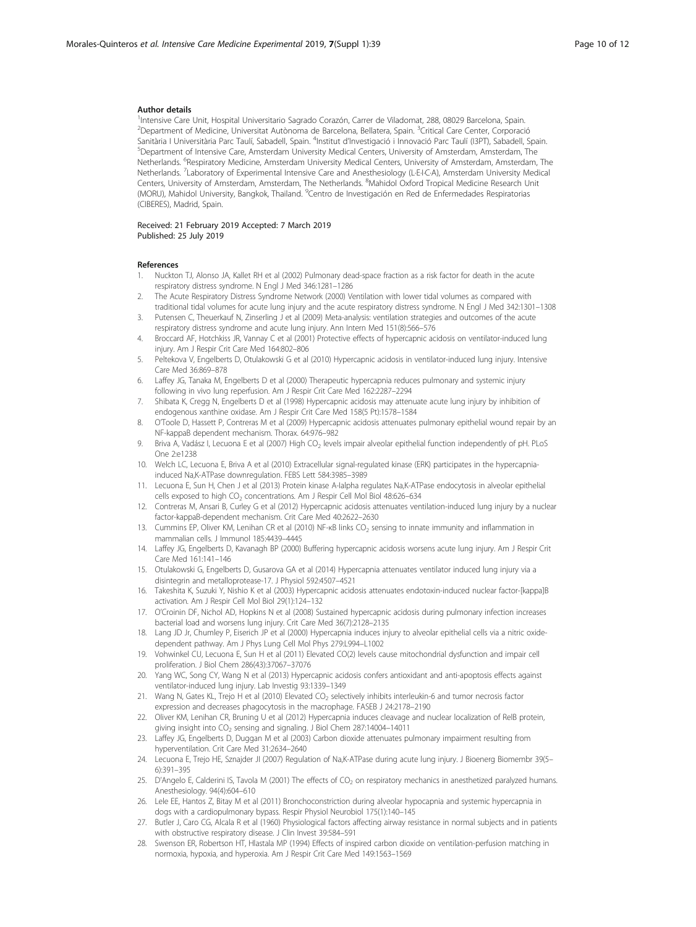#### <span id="page-9-0"></span>Author details

<sup>1</sup>Intensive Care Unit, Hospital Universitario Sagrado Corazón, Carrer de Viladomat, 288, 08029 Barcelona, Spain. <sup>2</sup>Department of Medicine, Universitat Autònoma de Barcelona, Bellatera, Spain. <sup>3</sup>Critical Care Center, Corporació Sanitària I Universitària Parc Taulí, Sabadell, Spain. <sup>4</sup>Institut d'Investigació i Innovació Parc Taulí (I3PT), Sabadell, Spain.<br><sup>5</sup>Denartment of Intensive Care, Amsterdam University Medical Centers University of Amsterda <sup>5</sup>Department of Intensive Care, Amsterdam University Medical Centers, University of Amsterdam, Amsterdam, The Netherlands. <sup>6</sup>Respiratory Medicine, Amsterdam University Medical Centers, University of Amsterdam, Amsterdam, The Netherlands. <sup>7</sup> Laboratory of Experimental Intensive Care and Anesthesiology (L-E-I-C-A), Amsterdam University Medical Centers, University of Amsterdam, Amsterdam, The Netherlands. <sup>8</sup>Mahidol Oxford Tropical Medicine Research Unit (MORU), Mahidol University, Bangkok, Thailand. <sup>9</sup>Centro de Investigación en Red de Enfermedades Respiratorias (CIBERES), Madrid, Spain.

#### Received: 21 February 2019 Accepted: 7 March 2019 Published: 25 July 2019

#### References

- 1. Nuckton TJ, Alonso JA, Kallet RH et al (2002) Pulmonary dead-space fraction as a risk factor for death in the acute respiratory distress syndrome. N Engl J Med 346:1281–1286
- 2. The Acute Respiratory Distress Syndrome Network (2000) Ventilation with lower tidal volumes as compared with traditional tidal volumes for acute lung injury and the acute respiratory distress syndrome. N Engl J Med 342:1301–1308
- 3. Putensen C, Theuerkauf N, Zinserling J et al (2009) Meta-analysis: ventilation strategies and outcomes of the acute respiratory distress syndrome and acute lung injury. Ann Intern Med 151(8):566–576
- 4. Broccard AF, Hotchkiss JR, Vannay C et al (2001) Protective effects of hypercapnic acidosis on ventilator-induced lung injury. Am J Respir Crit Care Med 164:802–806
- 5. Peltekova V, Engelberts D, Otulakowski G et al (2010) Hypercapnic acidosis in ventilator-induced lung injury. Intensive Care Med 36:869–878
- 6. Laffey JG, Tanaka M, Engelberts D et al (2000) Therapeutic hypercapnia reduces pulmonary and systemic injury following in vivo lung reperfusion. Am J Respir Crit Care Med 162:2287–2294
- 7. Shibata K, Cregg N, Engelberts D et al (1998) Hypercapnic acidosis may attenuate acute lung injury by inhibition of endogenous xanthine oxidase. Am J Respir Crit Care Med 158(5 Pt):1578–1584
- 8. O'Toole D, Hassett P, Contreras M et al (2009) Hypercapnic acidosis attenuates pulmonary epithelial wound repair by an NF-kappaB dependent mechanism. Thorax. 64:976–982
- 9. Briva A, Vadász I, Lecuona E et al (2007) High CO<sub>2</sub> levels impair alveolar epithelial function independently of pH. PLoS One 2:e1238
- 10. Welch LC, Lecuona E, Briva A et al (2010) Extracellular signal-regulated kinase (ERK) participates in the hypercapniainduced Na,K-ATPase downregulation. FEBS Lett 584:3985–3989
- 11. Lecuona E, Sun H, Chen J et al (2013) Protein kinase A-Ialpha regulates Na,K-ATPase endocytosis in alveolar epithelial cells exposed to high CO<sub>2</sub> concentrations. Am J Respir Cell Mol Biol 48:626-634
- 12. Contreras M, Ansari B, Curley G et al (2012) Hypercapnic acidosis attenuates ventilation-induced lung injury by a nuclear factor-kappaB-dependent mechanism. Crit Care Med 40:2622–2630
- 13. Cummins EP, Oliver KM, Lenihan CR et al (2010) NF-κB links CO<sub>2</sub> sensing to innate immunity and inflammation in mammalian cells. J Immunol 185:4439–4445
- 14. Laffey JG, Engelberts D, Kavanagh BP (2000) Buffering hypercapnic acidosis worsens acute lung injury. Am J Respir Crit Care Med 161:141–146
- 15. Otulakowski G, Engelberts D, Gusarova GA et al (2014) Hypercapnia attenuates ventilator induced lung injury via a disintegrin and metalloprotease-17. J Physiol 592:4507–4521
- 16. Takeshita K, Suzuki Y, Nishio K et al (2003) Hypercapnic acidosis attenuates endotoxin-induced nuclear factor-[kappa]B activation. Am J Respir Cell Mol Biol 29(1):124–132
- 17. O'Croinin DF, Nichol AD, Hopkins N et al (2008) Sustained hypercapnic acidosis during pulmonary infection increases bacterial load and worsens lung injury. Crit Care Med 36(7):2128–2135
- 18. Lang JD Jr, Chumley P, Eiserich JP et al (2000) Hypercapnia induces injury to alveolar epithelial cells via a nitric oxidedependent pathway. Am J Phys Lung Cell Mol Phys 279:L994–L1002
- 19. Vohwinkel CU, Lecuona E, Sun H et al (2011) Elevated CO(2) levels cause mitochondrial dysfunction and impair cell proliferation. J Biol Chem 286(43):37067–37076
- 20. Yang WC, Song CY, Wang N et al (2013) Hypercapnic acidosis confers antioxidant and anti-apoptosis effects against ventilator-induced lung injury. Lab Investig 93:1339–1349
- 21. Wang N, Gates KL, Trejo H et al (2010) Elevated  $CO_2$  selectively inhibits interleukin-6 and tumor necrosis factor expression and decreases phagocytosis in the macrophage. FASEB J 24:2178–2190
- 22. Oliver KM, Lenihan CR, Bruning U et al (2012) Hypercapnia induces cleavage and nuclear localization of RelB protein, giving insight into  $CO_2$  sensing and signaling. J Biol Chem 287:14004-14011
- 23. Laffey JG, Engelberts D, Duggan M et al (2003) Carbon dioxide attenuates pulmonary impairment resulting from hyperventilation. Crit Care Med 31:2634–2640
- 24. Lecuona E, Trejo HE, Sznajder JI (2007) Regulation of Na,K-ATPase during acute lung injury. J Bioenerg Biomembr 39(5– 6):391–395
- 25. D'Angelo E, Calderini IS, Tavola M (2001) The effects of  $CO<sub>2</sub>$  on respiratory mechanics in anesthetized paralyzed humans. Anesthesiology. 94(4):604–610
- 26. Lele EE, Hantos Z, Bitay M et al (2011) Bronchoconstriction during alveolar hypocapnia and systemic hypercapnia in dogs with a cardiopulmonary bypass. Respir Physiol Neurobiol 175(1):140–145
- 27. Butler J, Caro CG, Alcala R et al (1960) Physiological factors affecting airway resistance in normal subjects and in patients with obstructive respiratory disease. J Clin Invest 39:584–591
- 28. Swenson ER, Robertson HT, Hlastala MP (1994) Effects of inspired carbon dioxide on ventilation-perfusion matching in normoxia, hypoxia, and hyperoxia. Am J Respir Crit Care Med 149:1563–1569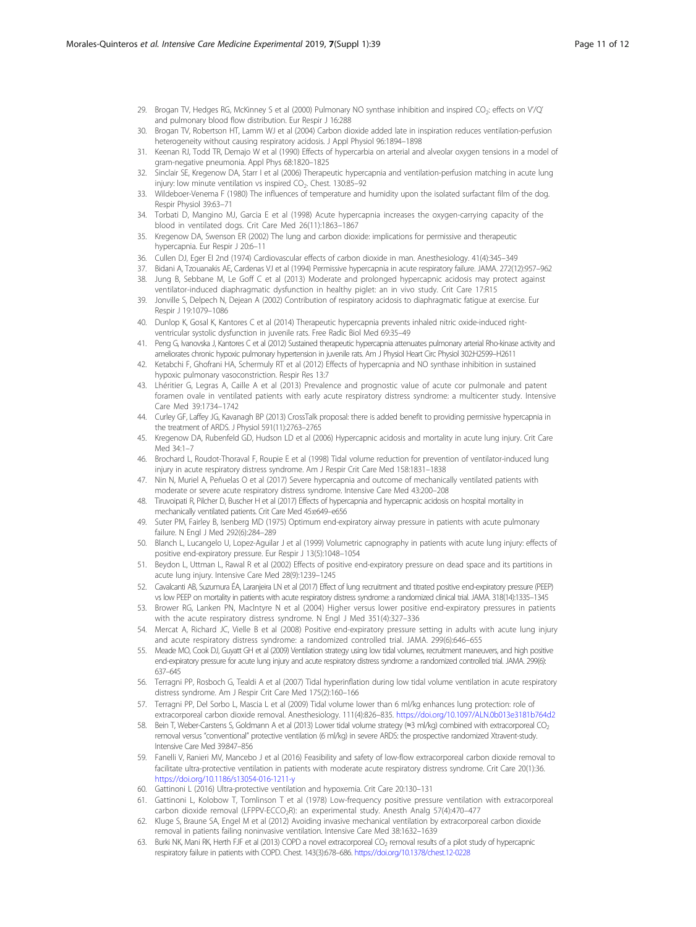- <span id="page-10-0"></span>29. Brogan TV, Hedges RG, McKinney S et al (2000) Pulmonary NO synthase inhibition and inspired CO<sub>2</sub>: effects on V'/Q' and pulmonary blood flow distribution. Eur Respir J 16:288
- 30. Brogan TV, Robertson HT, Lamm WJ et al (2004) Carbon dioxide added late in inspiration reduces ventilation-perfusion heterogeneity without causing respiratory acidosis. J Appl Physiol 96:1894–1898
- 31. Keenan RJ, Todd TR, Demajo W et al (1990) Effects of hypercarbia on arterial and alveolar oxygen tensions in a model of gram-negative pneumonia. Appl Phys 68:1820–1825
- 32. Sinclair SE, Kregenow DA, Starr I et al (2006) Therapeutic hypercapnia and ventilation-perfusion matching in acute lung injury: low minute ventilation vs inspired  $CO<sub>2</sub>$ . Chest. 130:85–92
- 33. Wildeboer-Venema F (1980) The influences of temperature and humidity upon the isolated surfactant film of the dog. Respir Physiol 39:63–71
- 34. Torbati D, Mangino MJ, Garcia E et al (1998) Acute hypercapnia increases the oxygen-carrying capacity of the blood in ventilated dogs. Crit Care Med 26(11):1863–1867
- 35. Kregenow DA, Swenson ER (2002) The lung and carbon dioxide: implications for permissive and therapeutic hypercapnia. Eur Respir J 20:6–11
- 36. Cullen DJ, Eger EI 2nd (1974) Cardiovascular effects of carbon dioxide in man. Anesthesiology. 41(4):345–349
- 37. Bidani A, Tzouanakis AE, Cardenas VJ et al (1994) Permissive hypercapnia in acute respiratory failure. JAMA. 272(12):957–962
- 38. Jung B, Sebbane M, Le Goff C et al (2013) Moderate and prolonged hypercapnic acidosis may protect against
- ventilator-induced diaphragmatic dysfunction in healthy piglet: an in vivo study. Crit Care 17:R15 39. Jonville S, Delpech N, Dejean A (2002) Contribution of respiratory acidosis to diaphragmatic fatigue at exercise. Eur Respir J 19:1079–1086
- 40. Dunlop K, Gosal K, Kantores C et al (2014) Therapeutic hypercapnia prevents inhaled nitric oxide-induced rightventricular systolic dysfunction in juvenile rats. Free Radic Biol Med 69:35–49
- 41. Peng G, Ivanovska J, Kantores C et al (2012) Sustained therapeutic hypercapnia attenuates pulmonary arterial Rho-kinase activity and ameliorates chronic hypoxic pulmonary hypertension in juvenile rats. Am J Physiol Heart Circ Physiol 302:H2599–H2611
- 42. Ketabchi F, Ghofrani HA, Schermuly RT et al (2012) Effects of hypercapnia and NO synthase inhibition in sustained hypoxic pulmonary vasoconstriction. Respir Res 13:7
- 43. Lhéritier G, Legras A, Caille A et al (2013) Prevalence and prognostic value of acute cor pulmonale and patent foramen ovale in ventilated patients with early acute respiratory distress syndrome: a multicenter study. Intensive Care Med 39:1734–1742
- 44. Curley GF, Laffey JG, Kavanagh BP (2013) CrossTalk proposal: there is added benefit to providing permissive hypercapnia in the treatment of ARDS. J Physiol 591(11):2763–2765
- 45. Kregenow DA, Rubenfeld GD, Hudson LD et al (2006) Hypercapnic acidosis and mortality in acute lung injury. Crit Care Med 34:1–7
- 46. Brochard L, Roudot-Thoraval F, Roupie E et al (1998) Tidal volume reduction for prevention of ventilator-induced lung injury in acute respiratory distress syndrome. Am J Respir Crit Care Med 158:1831–1838
- 47. Nin N, Muriel A, Peñuelas O et al (2017) Severe hypercapnia and outcome of mechanically ventilated patients with moderate or severe acute respiratory distress syndrome. Intensive Care Med 43:200–208
- 48. Tiruvoipati R, Pilcher D, Buscher H et al (2017) Effects of hypercapnia and hypercapnic acidosis on hospital mortality in mechanically ventilated patients. Crit Care Med 45:e649–e656
- 49. Suter PM, Fairley B, Isenberg MD (1975) Optimum end-expiratory airway pressure in patients with acute pulmonary failure. N Engl J Med 292(6):284–289
- 50. Blanch L, Lucangelo U, Lopez-Aguilar J et al (1999) Volumetric capnography in patients with acute lung injury: effects of positive end-expiratory pressure. Eur Respir J 13(5):1048–1054
- 51. Beydon L, Uttman L, Rawal R et al (2002) Effects of positive end-expiratory pressure on dead space and its partitions in acute lung injury. Intensive Care Med 28(9):1239–1245
- 52. Cavalcanti AB, Suzumura ÉA, Laranjeira LN et al (2017) Effect of lung recruitment and titrated positive end-expiratory pressure (PEEP) vs low PEEP on mortality in patients with acute respiratory distress syndrome: a randomized clinical trial. JAMA. 318(14):1335–1345
- 53. Brower RG, Lanken PN, MacIntyre N et al (2004) Higher versus lower positive end-expiratory pressures in patients with the acute respiratory distress syndrome. N Engl J Med 351(4):327–336
- 54. Mercat A, Richard JC, Vielle B et al (2008) Positive end-expiratory pressure setting in adults with acute lung injury and acute respiratory distress syndrome: a randomized controlled trial. JAMA. 299(6):646–655
- 55. Meade MO, Cook DJ, Guyatt GH et al (2009) Ventilation strategy using low tidal volumes, recruitment maneuvers, and high positive end-expiratory pressure for acute lung injury and acute respiratory distress syndrome: a randomized controlled trial. JAMA. 299(6): 637–645
- 56. Terragni PP, Rosboch G, Tealdi A et al (2007) Tidal hyperinflation during low tidal volume ventilation in acute respiratory distress syndrome. Am J Respir Crit Care Med 175(2):160–166
- 57. Terragni PP, Del Sorbo L, Mascia L et al (2009) Tidal volume lower than 6 ml/kg enhances lung protection: role of extracorporeal carbon dioxide removal. Anesthesiology. 111(4):826–835. <https://doi.org/10.1097/ALN.0b013e3181b764d2>
- 58. Bein T, Weber-Carstens S, Goldmann A et al (2013) Lower tidal volume strategy (≈3 ml/kg) combined with extracorporeal CO<sub>2</sub> removal versus "conventional" protective ventilation (6 ml/kg) in severe ARDS: the prospective randomized Xtravent-study. Intensive Care Med 39:847–856
- 59. Fanelli V, Ranieri MV, Mancebo J et al (2016) Feasibility and safety of low-flow extracorporeal carbon dioxide removal to facilitate ultra-protective ventilation in patients with moderate acute respiratory distress syndrome. Crit Care 20(1):36. <https://doi.org/10.1186/s13054-016-1211-y>
- 60. Gattinoni L (2016) Ultra-protective ventilation and hypoxemia. Crit Care 20:130–131
- 61. Gattinoni L, Kolobow T, Tomlinson T et al (1978) Low-frequency positive pressure ventilation with extracorporeal carbon dioxide removal (LFPPV-ECCO<sub>2</sub>R): an experimental study. Anesth Analg 57(4):470-477
- 62. Kluge S, Braune SA, Engel M et al (2012) Avoiding invasive mechanical ventilation by extracorporeal carbon dioxide removal in patients failing noninvasive ventilation. Intensive Care Med 38:1632–1639
- 63. Burki NK, Mani RK, Herth FJF et al (2013) COPD a novel extracorporeal CO<sub>2</sub> removal results of a pilot study of hypercapnic respiratory failure in patients with COPD. Chest. 143(3):678–686. <https://doi.org/10.1378/chest.12-0228>